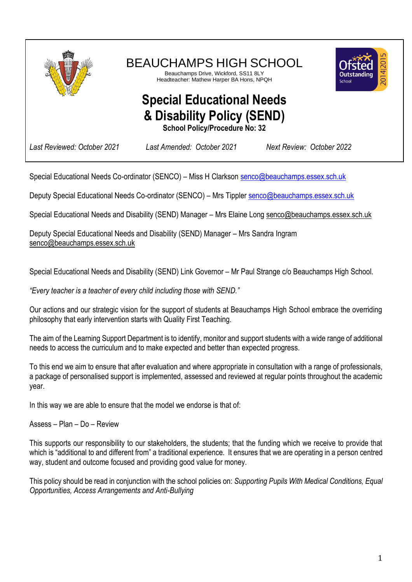

Special Educational Needs Co-ordinator (SENCO) – Miss H Clarkson [senco@beauchamps.essex.sch.uk](mailto:senco@beauchamps.essex.sch.uk)

Deputy Special Educational Needs Co-ordinator (SENCO) – Mrs Tipple[r senco@beauchamps.essex.sch.uk](mailto:senco@beauchamps.essex.sch.uk)

Special Educational Needs and Disability (SEND) Manager – Mrs Elaine Long [senco@beauchamps.essex.sch.uk](mailto:senco@beauchamps.essex.sch.uk)

Deputy Special Educational Needs and Disability (SEND) Manager – Mrs Sandra Ingram [senco@beauchamps.essex.sch.uk](mailto:senco@beauchamps.essex.sch.uk)

Special Educational Needs and Disability (SEND) Link Governor – Mr Paul Strange c/o Beauchamps High School.

*"Every teacher is a teacher of every child including those with SEND."*

Our actions and our strategic vision for the support of students at Beauchamps High School embrace the overriding philosophy that early intervention starts with Quality First Teaching.

The aim of the Learning Support Department is to identify, monitor and support students with a wide range of additional needs to access the curriculum and to make expected and better than expected progress.

To this end we aim to ensure that after evaluation and where appropriate in consultation with a range of professionals, a package of personalised support is implemented, assessed and reviewed at regular points throughout the academic year.

In this way we are able to ensure that the model we endorse is that of:

Assess – Plan – Do – Review

This supports our responsibility to our stakeholders, the students; that the funding which we receive to provide that which is "additional to and different from" a traditional experience. It ensures that we are operating in a person centred way, student and outcome focused and providing good value for money.

This policy should be read in conjunction with the school policies on: *Supporting Pupils With Medical Conditions, Equal Opportunities, Access Arrangements and Anti-Bullying*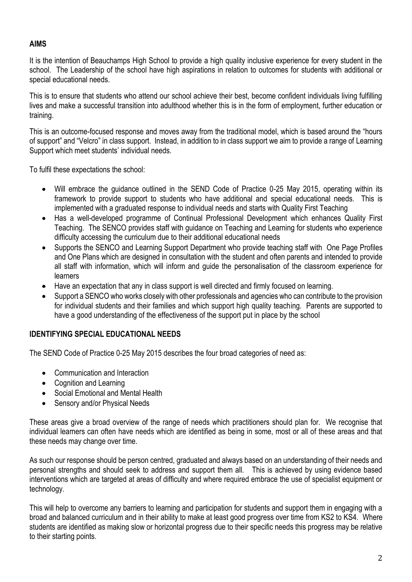# **AIMS**

It is the intention of Beauchamps High School to provide a high quality inclusive experience for every student in the school. The Leadership of the school have high aspirations in relation to outcomes for students with additional or special educational needs.

This is to ensure that students who attend our school achieve their best, become confident individuals living fulfilling lives and make a successful transition into adulthood whether this is in the form of employment, further education or training.

This is an outcome-focused response and moves away from the traditional model, which is based around the "hours of support" and "Velcro" in class support. Instead, in addition to in class support we aim to provide a range of Learning Support which meet students' individual needs.

To fulfil these expectations the school:

- Will embrace the guidance outlined in the SEND Code of Practice 0-25 May 2015, operating within its framework to provide support to students who have additional and special educational needs. This is implemented with a graduated response to individual needs and starts with Quality First Teaching
- Has a well-developed programme of Continual Professional Development which enhances Quality First Teaching. The SENCO provides staff with guidance on Teaching and Learning for students who experience difficulty accessing the curriculum due to their additional educational needs
- Supports the SENCO and Learning Support Department who provide teaching staff with One Page Profiles and One Plans which are designed in consultation with the student and often parents and intended to provide all staff with information, which will inform and guide the personalisation of the classroom experience for learners
- Have an expectation that any in class support is well directed and firmly focused on learning.
- Support a SENCO who works closely with other professionals and agencies who can contribute to the provision for individual students and their families and which support high quality teaching. Parents are supported to have a good understanding of the effectiveness of the support put in place by the school

#### **IDENTIFYING SPECIAL EDUCATIONAL NEEDS**

The SEND Code of Practice 0-25 May 2015 describes the four broad categories of need as:

- Communication and Interaction
- Cognition and Learning
- Social Emotional and Mental Health
- Sensory and/or Physical Needs

These areas give a broad overview of the range of needs which practitioners should plan for. We recognise that individual learners can often have needs which are identified as being in some, most or all of these areas and that these needs may change over time.

As such our response should be person centred, graduated and always based on an understanding of their needs and personal strengths and should seek to address and support them all. This is achieved by using evidence based interventions which are targeted at areas of difficulty and where required embrace the use of specialist equipment or technology.

This will help to overcome any barriers to learning and participation for students and support them in engaging with a broad and balanced curriculum and in their ability to make at least good progress over time from KS2 to KS4. Where students are identified as making slow or horizontal progress due to their specific needs this progress may be relative to their starting points.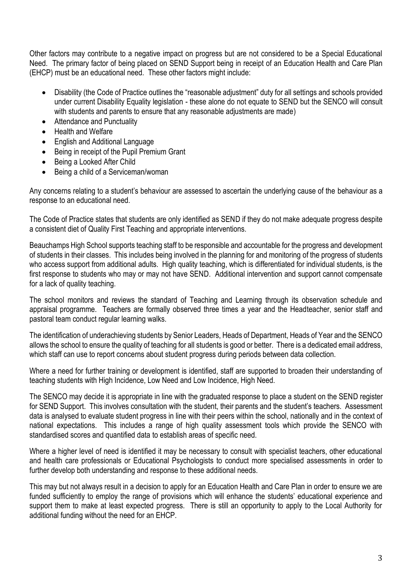Other factors may contribute to a negative impact on progress but are not considered to be a Special Educational Need. The primary factor of being placed on SEND Support being in receipt of an Education Health and Care Plan (EHCP) must be an educational need. These other factors might include:

- Disability (the Code of Practice outlines the "reasonable adjustment" duty for all settings and schools provided under current Disability Equality legislation - these alone do not equate to SEND but the SENCO will consult with students and parents to ensure that any reasonable adjustments are made)
- Attendance and Punctuality
- Health and Welfare
- English and Additional Language
- Being in receipt of the Pupil Premium Grant
- Being a Looked After Child
- Being a child of a Serviceman/woman

Any concerns relating to a student's behaviour are assessed to ascertain the underlying cause of the behaviour as a response to an educational need.

The Code of Practice states that students are only identified as SEND if they do not make adequate progress despite a consistent diet of Quality First Teaching and appropriate interventions.

Beauchamps High School supports teaching staff to be responsible and accountable for the progress and development of students in their classes. This includes being involved in the planning for and monitoring of the progress of students who access support from additional adults. High quality teaching, which is differentiated for individual students, is the first response to students who may or may not have SEND. Additional intervention and support cannot compensate for a lack of quality teaching.

The school monitors and reviews the standard of Teaching and Learning through its observation schedule and appraisal programme. Teachers are formally observed three times a year and the Headteacher, senior staff and pastoral team conduct regular learning walks.

The identification of underachieving students by Senior Leaders, Heads of Department, Heads of Year and the SENCO allows the school to ensure the quality of teaching for all students is good or better. There is a dedicated email address, which staff can use to report concerns about student progress during periods between data collection.

Where a need for further training or development is identified, staff are supported to broaden their understanding of teaching students with High Incidence, Low Need and Low Incidence, High Need.

The SENCO may decide it is appropriate in line with the graduated response to place a student on the SEND register for SEND Support. This involves consultation with the student, their parents and the student's teachers. Assessment data is analysed to evaluate student progress in line with their peers within the school, nationally and in the context of national expectations. This includes a range of high quality assessment tools which provide the SENCO with standardised scores and quantified data to establish areas of specific need.

Where a higher level of need is identified it may be necessary to consult with specialist teachers, other educational and health care professionals or Educational Psychologists to conduct more specialised assessments in order to further develop both understanding and response to these additional needs.

This may but not always result in a decision to apply for an Education Health and Care Plan in order to ensure we are funded sufficiently to employ the range of provisions which will enhance the students' educational experience and support them to make at least expected progress. There is still an opportunity to apply to the Local Authority for additional funding without the need for an EHCP.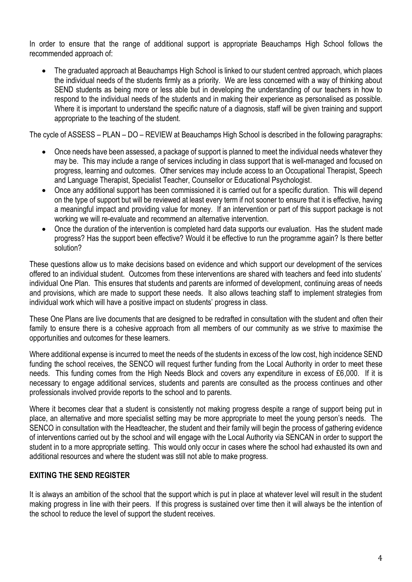In order to ensure that the range of additional support is appropriate Beauchamps High School follows the recommended approach of:

• The graduated approach at Beauchamps High School is linked to our student centred approach, which places the individual needs of the students firmly as a priority. We are less concerned with a way of thinking about SEND students as being more or less able but in developing the understanding of our teachers in how to respond to the individual needs of the students and in making their experience as personalised as possible. Where it is important to understand the specific nature of a diagnosis, staff will be given training and support appropriate to the teaching of the student.

The cycle of ASSESS – PLAN – DO – REVIEW at Beauchamps High School is described in the following paragraphs:

- Once needs have been assessed, a package of support is planned to meet the individual needs whatever they may be. This may include a range of services including in class support that is well-managed and focused on progress, learning and outcomes. Other services may include access to an Occupational Therapist, Speech and Language Therapist, Specialist Teacher, Counsellor or Educational Psychologist.
- Once any additional support has been commissioned it is carried out for a specific duration. This will depend on the type of support but will be reviewed at least every term if not sooner to ensure that it is effective, having a meaningful impact and providing value for money. If an intervention or part of this support package is not working we will re-evaluate and recommend an alternative intervention.
- Once the duration of the intervention is completed hard data supports our evaluation. Has the student made progress? Has the support been effective? Would it be effective to run the programme again? Is there better solution?

These questions allow us to make decisions based on evidence and which support our development of the services offered to an individual student. Outcomes from these interventions are shared with teachers and feed into students' individual One Plan. This ensures that students and parents are informed of development, continuing areas of needs and provisions, which are made to support these needs. It also allows teaching staff to implement strategies from individual work which will have a positive impact on students' progress in class.

These One Plans are live documents that are designed to be redrafted in consultation with the student and often their family to ensure there is a cohesive approach from all members of our community as we strive to maximise the opportunities and outcomes for these learners.

Where additional expense is incurred to meet the needs of the students in excess of the low cost, high incidence SEND funding the school receives, the SENCO will request further funding from the Local Authority in order to meet these needs. This funding comes from the High Needs Block and covers any expenditure in excess of £6,000. If it is necessary to engage additional services, students and parents are consulted as the process continues and other professionals involved provide reports to the school and to parents.

Where it becomes clear that a student is consistently not making progress despite a range of support being put in place, an alternative and more specialist setting may be more appropriate to meet the young person's needs. The SENCO in consultation with the Headteacher, the student and their family will begin the process of gathering evidence of interventions carried out by the school and will engage with the Local Authority via SENCAN in order to support the student in to a more appropriate setting. This would only occur in cases where the school had exhausted its own and additional resources and where the student was still not able to make progress.

## **EXITING THE SEND REGISTER**

It is always an ambition of the school that the support which is put in place at whatever level will result in the student making progress in line with their peers. If this progress is sustained over time then it will always be the intention of the school to reduce the level of support the student receives.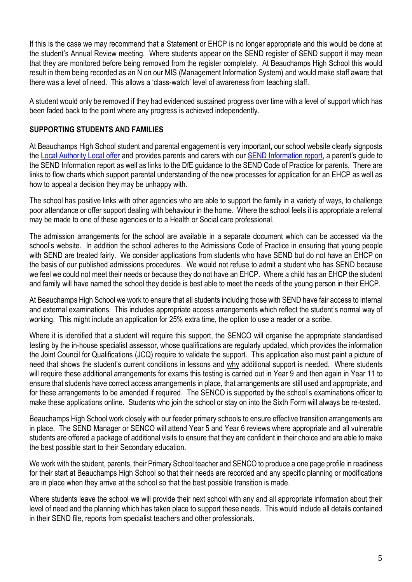If this is the case we may recommend that a Statement or EHCP is no longer appropriate and this would be done at the student's Annual Review meeting. Where students appear on the SEND register of SEND support it may mean that they are monitored before being removed from the register completely. At Beauchamps High School this would result in them being recorded as an N on our MIS (Management Information System) and would make staff aware that there was a level of need. This allows a 'class-watch' level of awareness from teaching staff.

A student would only be removed if they had evidenced sustained progress over time with a level of support which has been faded back to the point where any progress is achieved independently.

#### **SUPPORTING STUDENTS AND FAMILIES**

At Beauchamps High School student and parental engagement is very important, our school website clearly signposts the [Local Authority Local offer](http://www.essexlocaloffer.org.uk/) and provides parents and carers with our SEND [Information report](http://www.beauweb.org.uk/wp-content/uploads/2014/09/Beauchamps-High-School-SEN-Information-Report1.pdf), a parent's guide to the SEND Information report as well as links to the DfE guidance to the SEND Code of Practice for parents. There are links to flow charts which support parental understanding of the new processes for application for an EHCP as well as how to appeal a decision they may be unhappy with.

The school has positive links with other agencies who are able to support the family in a variety of ways, to challenge poor attendance or offer support dealing with behaviour in the home. Where the school feels it is appropriate a referral may be made to one of these agencies or to a Health or Social care professional.

The admission arrangements for the school are available in a separate document which can be accessed via the school's website. In addition the school adheres to the Admissions Code of Practice in ensuring that young people with SEND are treated fairly. We consider applications from students who have SEND but do not have an EHCP on the basis of our published admissions procedures. We would not refuse to admit a student who has SEND because we feel we could not meet their needs or because they do not have an EHCP. Where a child has an EHCP the student and family will have named the school they decide is best able to meet the needs of the young person in their EHCP.

At Beauchamps High School we work to ensure that all students including those with SEND have fair access to internal and external examinations. This includes appropriate access arrangements which reflect the student's normal way of working. This might include an application for 25% extra time, the option to use a reader or a scribe.

Where it is identified that a student will require this support, the SENCO will organise the appropriate standardised testing by the in-house specialist assessor, whose qualifications are regularly updated, which provides the information the Joint Council for Qualifications (JCQ) require to validate the support. This application also must paint a picture of need that shows the student's current conditions in lessons and why additional support is needed. Where students will require these additional arrangements for exams this testing is carried out in Year 9 and then again in Year 11 to ensure that students have correct access arrangements in place, that arrangements are still used and appropriate, and for these arrangements to be amended if required. The SENCO is supported by the school's examinations officer to make these applications online. Students who join the school or stay on into the Sixth Form will always be re-tested.

Beauchamps High School work closely with our feeder primary schools to ensure effective transition arrangements are in place. The SEND Manager or SENCO will attend Year 5 and Year 6 reviews where appropriate and all vulnerable students are offered a package of additional visits to ensure that they are confident in their choice and are able to make the best possible start to their Secondary education.

We work with the student, parents, their Primary School teacher and SENCO to produce a one page profile in readiness for their start at Beauchamps High School so that their needs are recorded and any specific planning or modifications are in place when they arrive at the school so that the best possible transition is made.

Where students leave the school we will provide their next school with any and all appropriate information about their level of need and the planning which has taken place to support these needs. This would include all details contained in their SEND file, reports from specialist teachers and other professionals.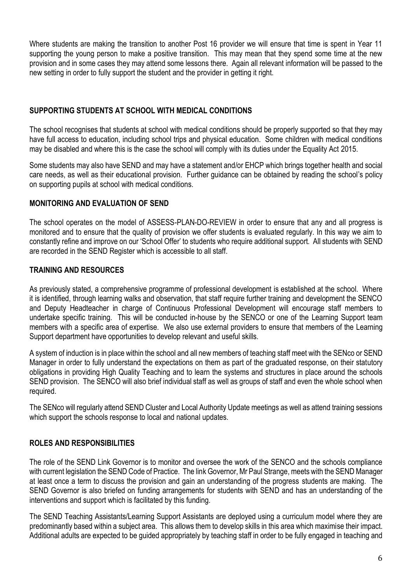Where students are making the transition to another Post 16 provider we will ensure that time is spent in Year 11 supporting the young person to make a positive transition. This may mean that they spend some time at the new provision and in some cases they may attend some lessons there. Again all relevant information will be passed to the new setting in order to fully support the student and the provider in getting it right.

## **SUPPORTING STUDENTS AT SCHOOL WITH MEDICAL CONDITIONS**

The school recognises that students at school with medical conditions should be properly supported so that they may have full access to education, including school trips and physical education. Some children with medical conditions may be disabled and where this is the case the school will comply with its duties under the Equality Act 2015.

Some students may also have SEND and may have a statement and/or EHCP which brings together health and social care needs, as well as their educational provision. Further guidance can be obtained by reading the school's policy on supporting pupils at school with medical conditions.

## **MONITORING AND EVALUATION OF SEND**

The school operates on the model of ASSESS-PLAN-DO-REVIEW in order to ensure that any and all progress is monitored and to ensure that the quality of provision we offer students is evaluated regularly. In this way we aim to constantly refine and improve on our 'School Offer' to students who require additional support. All students with SEND are recorded in the SEND Register which is accessible to all staff.

## **TRAINING AND RESOURCES**

As previously stated, a comprehensive programme of professional development is established at the school. Where it is identified, through learning walks and observation, that staff require further training and development the SENCO and Deputy Headteacher in charge of Continuous Professional Development will encourage staff members to undertake specific training. This will be conducted in-house by the SENCO or one of the Learning Support team members with a specific area of expertise. We also use external providers to ensure that members of the Learning Support department have opportunities to develop relevant and useful skills.

A system of induction is in place within the school and all new members of teaching staff meet with the SENco or SEND Manager in order to fully understand the expectations on them as part of the graduated response, on their statutory obligations in providing High Quality Teaching and to learn the systems and structures in place around the schools SEND provision. The SENCO will also brief individual staff as well as groups of staff and even the whole school when required.

The SENco will regularly attend SEND Cluster and Local Authority Update meetings as well as attend training sessions which support the schools response to local and national updates.

## **ROLES AND RESPONSIBILITIES**

The role of the SEND Link Governor is to monitor and oversee the work of the SENCO and the schools compliance with current legislation the SEND Code of Practice. The link Governor, Mr Paul Strange, meets with the SEND Manager at least once a term to discuss the provision and gain an understanding of the progress students are making. The SEND Governor is also briefed on funding arrangements for students with SEND and has an understanding of the interventions and support which is facilitated by this funding.

The SEND Teaching Assistants/Learning Support Assistants are deployed using a curriculum model where they are predominantly based within a subject area. This allows them to develop skills in this area which maximise their impact. Additional adults are expected to be guided appropriately by teaching staff in order to be fully engaged in teaching and